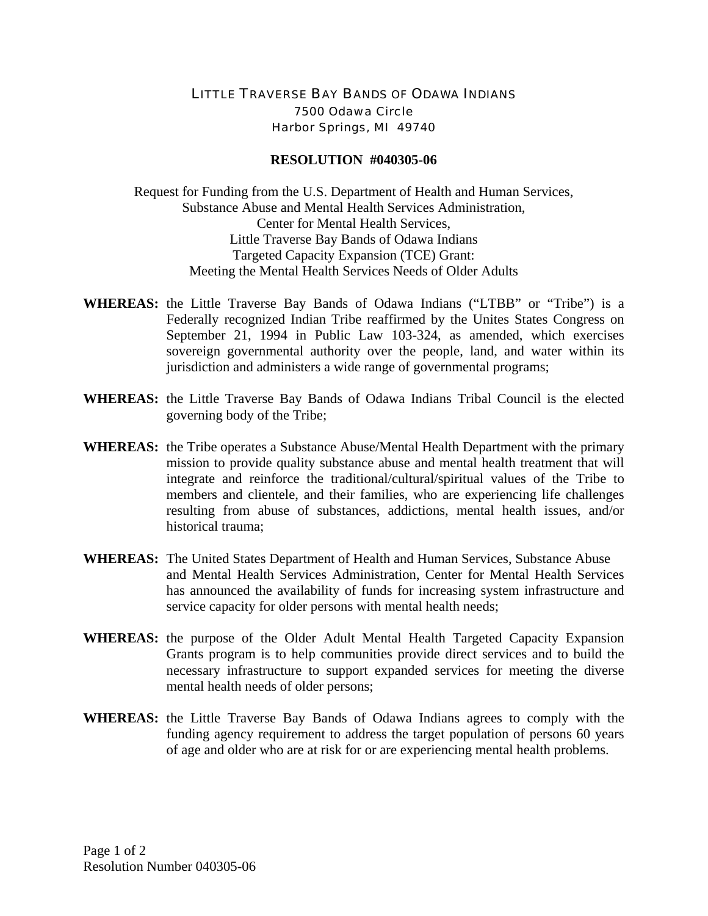## LITTLE TRAVERSE BAY BANDS OF ODAWA INDIANS 7500 Odawa Circle Harbor Springs, MI 49740

## **RESOLUTION #040305-06**

Request for Funding from the U.S. Department of Health and Human Services, Substance Abuse and Mental Health Services Administration, Center for Mental Health Services, Little Traverse Bay Bands of Odawa Indians Targeted Capacity Expansion (TCE) Grant: Meeting the Mental Health Services Needs of Older Adults

- **WHEREAS:** the Little Traverse Bay Bands of Odawa Indians ("LTBB" or "Tribe") is a Federally recognized Indian Tribe reaffirmed by the Unites States Congress on September 21, 1994 in Public Law 103-324, as amended, which exercises sovereign governmental authority over the people, land, and water within its jurisdiction and administers a wide range of governmental programs;
- **WHEREAS:** the Little Traverse Bay Bands of Odawa Indians Tribal Council is the elected governing body of the Tribe;
- **WHEREAS:** the Tribe operates a Substance Abuse/Mental Health Department with the primary mission to provide quality substance abuse and mental health treatment that will integrate and reinforce the traditional/cultural/spiritual values of the Tribe to members and clientele, and their families, who are experiencing life challenges resulting from abuse of substances, addictions, mental health issues, and/or historical trauma;
- **WHEREAS:** The United States Department of Health and Human Services, Substance Abuse and Mental Health Services Administration, Center for Mental Health Services has announced the availability of funds for increasing system infrastructure and service capacity for older persons with mental health needs;
- **WHEREAS:** the purpose of the Older Adult Mental Health Targeted Capacity Expansion Grants program is to help communities provide direct services and to build the necessary infrastructure to support expanded services for meeting the diverse mental health needs of older persons;
- **WHEREAS:** the Little Traverse Bay Bands of Odawa Indians agrees to comply with the funding agency requirement to address the target population of persons 60 years of age and older who are at risk for or are experiencing mental health problems.